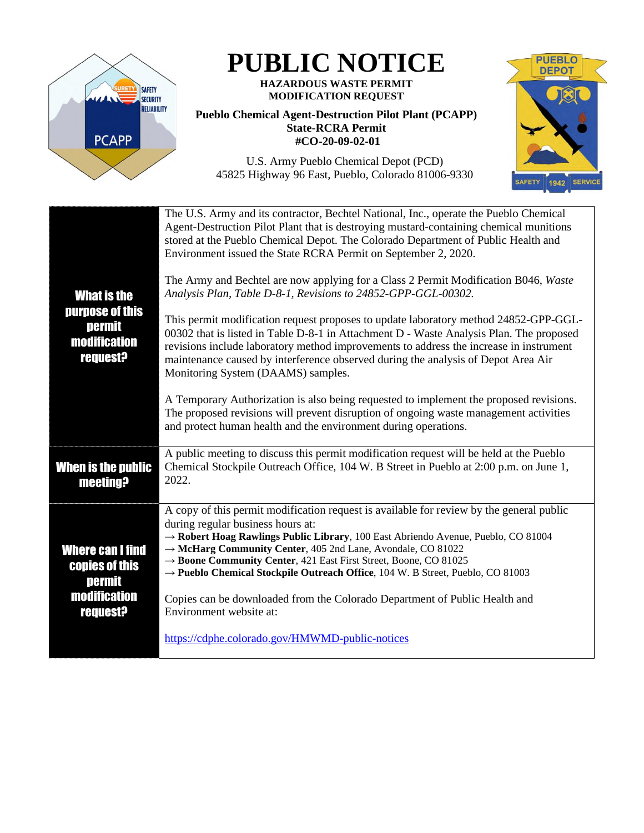

# **PUBLIC NOTICE**

#### **HAZARDOUS WASTE PERMIT MODIFICATION REQUEST**

### **Pueblo Chemical Agent-Destruction Pilot Plant (PCAPP) State-RCRA Permit #CO-20-09-02-01**

**PUEBLO DEPOT** 1942 SERVICE SAFETY

U.S. Army Pueblo Chemical Depot (PCD) 45825 Highway 96 East, Pueblo, Colorado 81006-9330

| <b>What is the</b><br>purpose of this<br>permit<br><b>modification</b><br><b>request?</b> | The U.S. Army and its contractor, Bechtel National, Inc., operate the Pueblo Chemical<br>Agent-Destruction Pilot Plant that is destroying mustard-containing chemical munitions<br>stored at the Pueblo Chemical Depot. The Colorado Department of Public Health and<br>Environment issued the State RCRA Permit on September 2, 2020.                                                                                                              |
|-------------------------------------------------------------------------------------------|-----------------------------------------------------------------------------------------------------------------------------------------------------------------------------------------------------------------------------------------------------------------------------------------------------------------------------------------------------------------------------------------------------------------------------------------------------|
|                                                                                           | The Army and Bechtel are now applying for a Class 2 Permit Modification B046, Waste<br>Analysis Plan, Table D-8-1, Revisions to 24852-GPP-GGL-00302.                                                                                                                                                                                                                                                                                                |
|                                                                                           | This permit modification request proposes to update laboratory method 24852-GPP-GGL-<br>00302 that is listed in Table D-8-1 in Attachment D - Waste Analysis Plan. The proposed<br>revisions include laboratory method improvements to address the increase in instrument<br>maintenance caused by interference observed during the analysis of Depot Area Air<br>Monitoring System (DAAMS) samples.                                                |
|                                                                                           | A Temporary Authorization is also being requested to implement the proposed revisions.<br>The proposed revisions will prevent disruption of ongoing waste management activities<br>and protect human health and the environment during operations.                                                                                                                                                                                                  |
| <b>When is the public</b><br><b>meeting?</b>                                              | A public meeting to discuss this permit modification request will be held at the Pueblo<br>Chemical Stockpile Outreach Office, 104 W. B Street in Pueblo at 2:00 p.m. on June 1,<br>2022.                                                                                                                                                                                                                                                           |
| <b>Where can I find</b><br>copies of this<br><b>permit</b>                                | A copy of this permit modification request is available for review by the general public<br>during regular business hours at:<br>$\rightarrow$ Robert Hoag Rawlings Public Library, 100 East Abriendo Avenue, Pueblo, CO 81004<br>→ McHarg Community Center, 405 2nd Lane, Avondale, CO 81022<br>→ Boone Community Center, 421 East First Street, Boone, CO 81025<br>→ Pueblo Chemical Stockpile Outreach Office, 104 W. B Street, Pueblo, CO 81003 |
| <b>modification</b><br><b>request?</b>                                                    | Copies can be downloaded from the Colorado Department of Public Health and<br>Environment website at:                                                                                                                                                                                                                                                                                                                                               |
|                                                                                           | https://cdphe.colorado.gov/HMWMD-public-notices                                                                                                                                                                                                                                                                                                                                                                                                     |